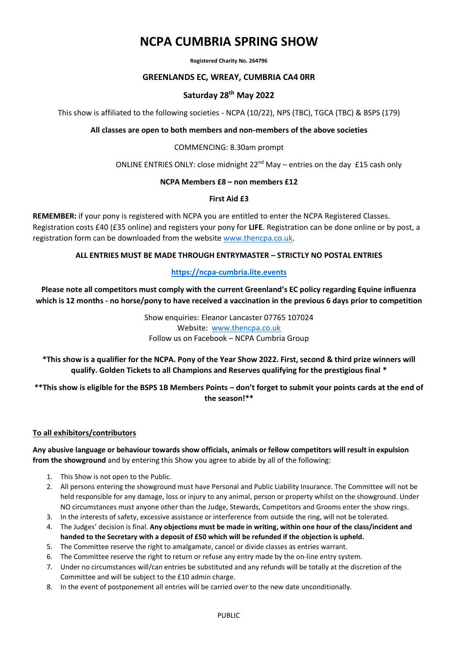# **NCPA CUMBRIA SPRING SHOW**

**Registered Charity No. 264796**

#### **GREENLANDS EC, WREAY, CUMBRIA CA4 0RR**

#### **Saturday 28th May 2022**

This show is affiliated to the following societies - NCPA (10/22), NPS (TBC), TGCA (TBC) & BSPS (179)

**All classes are open to both members and non-members of the above societies**

#### COMMENCING: 8.30am prompt

ONLINE ENTRIES ONLY: close midnight 22<sup>nd</sup> May – entries on the day £15 cash only

#### **NCPA Members £8 – non members £12**

#### **First Aid £3**

**REMEMBER:** if your pony is registered with NCPA you are entitled to enter the NCPA Registered Classes. Registration costs £40 (£35 online) and registers your pony for **LIFE**. Registration can be done online or by post, a registration form can be downloaded from the website [www.thencpa.co.uk.](http://www.thencpa.co.uk/)

#### **ALL ENTRIES MUST BE MADE THROUGH ENTRYMASTER – STRICTLY NO POSTAL ENTRIES**

#### **[https://ncpa-cumbria.lite.events](https://ncpa-cumbria.lite.events/)**

**Please note all competitors must comply with the current Greenland's EC policy regarding Equine influenza which is 12 months - no horse/pony to have received a vaccination in the previous 6 days prior to competition**

> Show enquiries: Eleanor Lancaster 07765 107024 Website: [www.thencpa.co.uk](http://www.thencpa.co.uk/) Follow us on Facebook – NCPA Cumbria Group

**\*This show is a qualifier for the NCPA. Pony of the Year Show 2022. First, second & third prize winners will qualify. Golden Tickets to all Champions and Reserves qualifying for the prestigious final \***

**\*\*This show is eligible for the BSPS 1B Members Points – don't forget to submit your points cards at the end of the season!\*\***

#### **To all exhibitors/contributors**

**Any abusive language or behaviour towards show officials, animals or fellow competitors will result in expulsion from the showground** and by entering this Show you agree to abide by all of the following:

- 1. This Show is not open to the Public.
- 2. All persons entering the showground must have Personal and Public Liability Insurance. The Committee will not be held responsible for any damage, loss or injury to any animal, person or property whilst on the showground. Under NO circumstances must anyone other than the Judge, Stewards, Competitors and Grooms enter the show rings.
- 3. In the interests of safety, excessive assistance or interference from outside the ring, will not be tolerated.
- 4. The Judges' decision is final. **Any objections must be made in writing, within one hour of the class/incident and handed to the Secretary with a deposit of £50 which will be refunded if the objection is upheld.**
- 5. The Committee reserve the right to amalgamate, cancel or divide classes as entries warrant.
- 6. The Committee reserve the right to return or refuse any entry made by the on-line entry system.
- 7. Under no circumstances will/can entries be substituted and any refunds will be totally at the discretion of the Committee and will be subject to the £10 admin charge.
- 8. In the event of postponement all entries will be carried over to the new date unconditionally.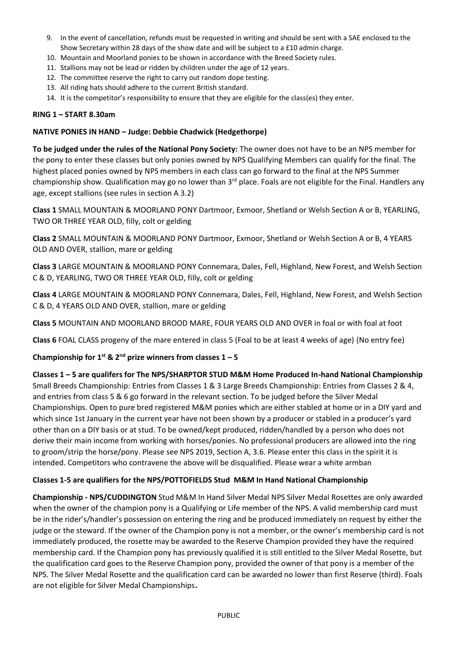- 9. In the event of cancellation, refunds must be requested in writing and should be sent with a SAE enclosed to the Show Secretary within 28 days of the show date and will be subject to a £10 admin charge.
- 10. Mountain and Moorland ponies to be shown in accordance with the Breed Society rules.
- 11. Stallions may not be lead or ridden by children under the age of 12 years.
- 12. The committee reserve the right to carry out random dope testing.
- 13. All riding hats should adhere to the current British standard.
- 14. It is the competitor's responsibility to ensure that they are eligible for the class(es) they enter.

#### **RING 1 – START 8.30am**

#### **NATIVE PONIES IN HAND – Judge: Debbie Chadwick (Hedgethorpe)**

**To be judged under the rules of the National Pony Society:** The owner does not have to be an NPS member for the pony to enter these classes but only ponies owned by NPS Qualifying Members can qualify for the final. The highest placed ponies owned by NPS members in each class can go forward to the final at the NPS Summer championship show. Qualification may go no lower than 3<sup>rd</sup> place. Foals are not eligible for the Final. Handlers any age, except stallions (see rules in section A 3.2)

**Class 1** SMALL MOUNTAIN & MOORLAND PONY Dartmoor, Exmoor, Shetland or Welsh Section A or B, YEARLING, TWO OR THREE YEAR OLD, filly, colt or gelding

**Class 2** SMALL MOUNTAIN & MOORLAND PONY Dartmoor, Exmoor, Shetland or Welsh Section A or B, 4 YEARS OLD AND OVER, stallion, mare or gelding

**Class 3** LARGE MOUNTAIN & MOORLAND PONY Connemara, Dales, Fell, Highland, New Forest, and Welsh Section C & D, YEARLING, TWO OR THREE YEAR OLD, filly, colt or gelding

**Class 4** LARGE MOUNTAIN & MOORLAND PONY Connemara, Dales, Fell, Highland, New Forest, and Welsh Section C & D, 4 YEARS OLD AND OVER, stallion, mare or gelding

**Class 5** MOUNTAIN AND MOORLAND BROOD MARE, FOUR YEARS OLD AND OVER in foal or with foal at foot

**Class 6** FOAL CLASS progeny of the mare entered in class 5 (Foal to be at least 4 weeks of age) (No entry fee)

## **Championship for 1 st & 2nd prize winners from classes 1 – 5**

**Classes 1 – 5 are qualifers for The NPS/SHARPTOR STUD M&M Home Produced In-hand National Championship**  Small Breeds Championship: Entries from Classes 1 & 3 Large Breeds Championship: Entries from Classes 2 & 4, and entries from class 5 & 6 go forward in the relevant section. To be judged before the Silver Medal Championships. Open to pure bred registered M&M ponies which are either stabled at home or in a DIY yard and which since 1st January in the current year have not been shown by a producer or stabled in a producer's yard other than on a DIY basis or at stud. To be owned/kept produced, ridden/handled by a person who does not derive their main income from working with horses/ponies. No professional producers are allowed into the ring to groom/strip the horse/pony. Please see NPS 2019, Section A, 3.6. Please enter this class in the spirit it is intended. Competitors who contravene the above will be disqualified. Please wear a white armban

## **Classes 1-5 are qualifiers for the NPS/POTTOFIELDS Stud M&M In Hand National Championship**

**Championship - NPS/CUDDINGTON** Stud M&M In Hand Silver Medal NPS Silver Medal Rosettes are only awarded when the owner of the champion pony is a Qualifying or Life member of the NPS. A valid membership card must be in the rider's/handler's possession on entering the ring and be produced immediately on request by either the judge or the steward. If the owner of the Champion pony is not a member, or the owner's membership card is not immediately produced, the rosette may be awarded to the Reserve Champion provided they have the required membership card. If the Champion pony has previously qualified it is still entitled to the Silver Medal Rosette, but the qualification card goes to the Reserve Champion pony, provided the owner of that pony is a member of the NPS. The Silver Medal Rosette and the qualification card can be awarded no lower than first Reserve (third). Foals are not eligible for Silver Medal Championships**.**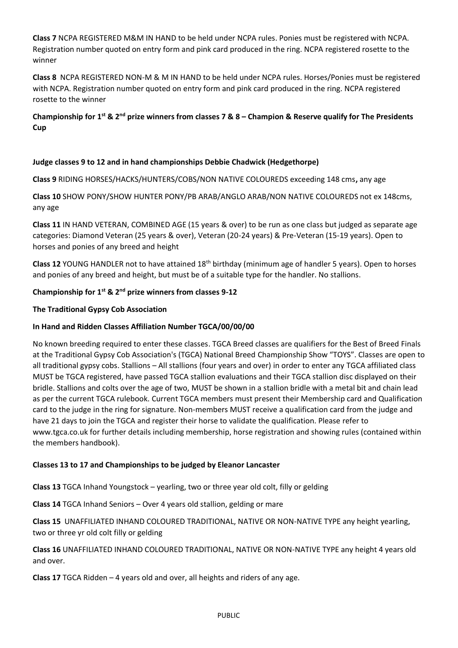**Class 7** NCPA REGISTERED M&M IN HAND to be held under NCPA rules. Ponies must be registered with NCPA. Registration number quoted on entry form and pink card produced in the ring. NCPA registered rosette to the winner

**Class 8** NCPA REGISTERED NON-M & M IN HAND to be held under NCPA rules. Horses/Ponies must be registered with NCPA. Registration number quoted on entry form and pink card produced in the ring. NCPA registered rosette to the winner

**Championship for 1 st & 2nd prize winners from classes 7 & 8 – Champion & Reserve qualify for The Presidents Cup**

## **Judge classes 9 to 12 and in hand championships Debbie Chadwick (Hedgethorpe)**

**Class 9** RIDING HORSES/HACKS/HUNTERS/COBS/NON NATIVE COLOUREDS exceeding 148 cms**,** any age

**Class 10** SHOW PONY/SHOW HUNTER PONY/PB ARAB/ANGLO ARAB/NON NATIVE COLOUREDS not ex 148cms, any age

**Class 11** IN HAND VETERAN, COMBINED AGE (15 years & over) to be run as one class but judged as separate age categories: Diamond Veteran (25 years & over), Veteran (20-24 years) & Pre-Veteran (15-19 years). Open to horses and ponies of any breed and height

**Class 12** YOUNG HANDLER not to have attained 18th birthday (minimum age of handler 5 years). Open to horses and ponies of any breed and height, but must be of a suitable type for the handler. No stallions.

## **Championship for 1st & 2nd prize winners from classes 9-12**

## **The Traditional Gypsy Cob Association**

## **In Hand and Ridden Classes Affiliation Number TGCA/00/00/00**

No known breeding required to enter these classes. TGCA Breed classes are qualifiers for the Best of Breed Finals at the Traditional Gypsy Cob Association's (TGCA) National Breed Championship Show "TOYS". Classes are open to all traditional gypsy cobs. Stallions – All stallions (four years and over) in order to enter any TGCA affiliated class MUST be TGCA registered, have passed TGCA stallion evaluations and their TGCA stallion disc displayed on their bridle. Stallions and colts over the age of two, MUST be shown in a stallion bridle with a metal bit and chain lead as per the current TGCA rulebook. Current TGCA members must present their Membership card and Qualification card to the judge in the ring for signature. Non-members MUST receive a qualification card from the judge and have 21 days to join the TGCA and register their horse to validate the qualification. Please refer to www.tgca.co.uk for further details including membership, horse registration and showing rules (contained within the members handbook).

## **Classes 13 to 17 and Championships to be judged by Eleanor Lancaster**

**Class 13** TGCA Inhand Youngstock – yearling, two or three year old colt, filly or gelding

**Class 14** TGCA Inhand Seniors – Over 4 years old stallion, gelding or mare

**Class 15** UNAFFILIATED INHAND COLOURED TRADITIONAL, NATIVE OR NON-NATIVE TYPE any height yearling, two or three yr old colt filly or gelding

**Class 16** UNAFFILIATED INHAND COLOURED TRADITIONAL, NATIVE OR NON-NATIVE TYPE any height 4 years old and over.

**Class 17** TGCA Ridden – 4 years old and over, all heights and riders of any age.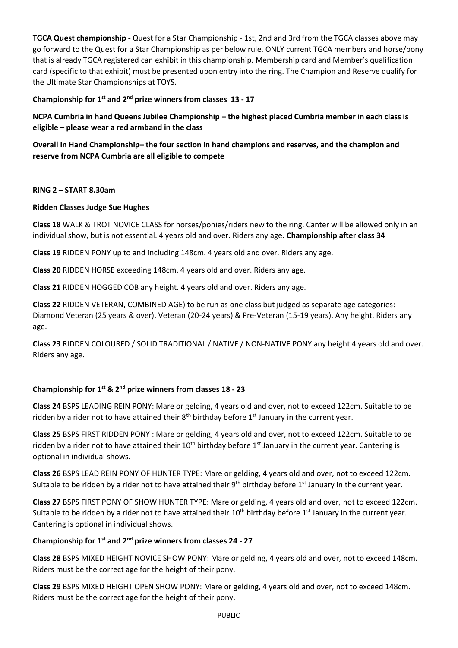**TGCA Quest championship -** Quest for a Star Championship - 1st, 2nd and 3rd from the TGCA classes above may go forward to the Quest for a Star Championship as per below rule. ONLY current TGCA members and horse/pony that is already TGCA registered can exhibit in this championship. Membership card and Member's qualification card (specific to that exhibit) must be presented upon entry into the ring. The Champion and Reserve qualify for the Ultimate Star Championships at TOYS.

## **Championship for 1st and 2nd prize winners from classes 13 - 17**

**NCPA Cumbria in hand Queens Jubilee Championship – the highest placed Cumbria member in each class is eligible – please wear a red armband in the class**

**Overall In Hand Championship– the four section in hand champions and reserves, and the champion and reserve from NCPA Cumbria are all eligible to compete**

#### **RING 2 – START 8.30am**

## **Ridden Classes Judge Sue Hughes**

**Class 18** WALK & TROT NOVICE CLASS for horses/ponies/riders new to the ring. Canter will be allowed only in an individual show, but is not essential. 4 years old and over. Riders any age. **Championship after class 34**

**Class 19** RIDDEN PONY up to and including 148cm. 4 years old and over. Riders any age.

**Class 20** RIDDEN HORSE exceeding 148cm. 4 years old and over. Riders any age.

**Class 21** RIDDEN HOGGED COB any height. 4 years old and over. Riders any age.

**Class 22** RIDDEN VETERAN, COMBINED AGE) to be run as one class but judged as separate age categories: Diamond Veteran (25 years & over), Veteran (20-24 years) & Pre-Veteran (15-19 years). Any height. Riders any age.

**Class 23** RIDDEN COLOURED / SOLID TRADITIONAL / NATIVE / NON-NATIVE PONY any height 4 years old and over. Riders any age.

## **Championship for 1 st & 2nd prize winners from classes 18 - 23**

**Class 24** BSPS LEADING REIN PONY: Mare or gelding, 4 years old and over, not to exceed 122cm. Suitable to be ridden by a rider not to have attained their  $8<sup>th</sup>$  birthday before  $1<sup>st</sup>$  January in the current year.

**Class 25** BSPS FIRST RIDDEN PONY : Mare or gelding, 4 years old and over, not to exceed 122cm. Suitable to be ridden by a rider not to have attained their  $10^{th}$  birthday before  $1^{st}$  January in the current year. Cantering is optional in individual shows.

**Class 26** BSPS LEAD REIN PONY OF HUNTER TYPE: Mare or gelding, 4 years old and over, not to exceed 122cm. Suitable to be ridden by a rider not to have attained their 9<sup>th</sup> birthday before 1<sup>st</sup> January in the current year.

**Class 27** BSPS FIRST PONY OF SHOW HUNTER TYPE: Mare or gelding, 4 years old and over, not to exceed 122cm. Suitable to be ridden by a rider not to have attained their  $10^{th}$  birthday before  $1^{st}$  January in the current year. Cantering is optional in individual shows.

## **Championship for 1st and 2nd prize winners from classes 24 - 27**

**Class 28** BSPS MIXED HEIGHT NOVICE SHOW PONY: Mare or gelding, 4 years old and over, not to exceed 148cm. Riders must be the correct age for the height of their pony.

**Class 29** BSPS MIXED HEIGHT OPEN SHOW PONY: Mare or gelding, 4 years old and over, not to exceed 148cm. Riders must be the correct age for the height of their pony.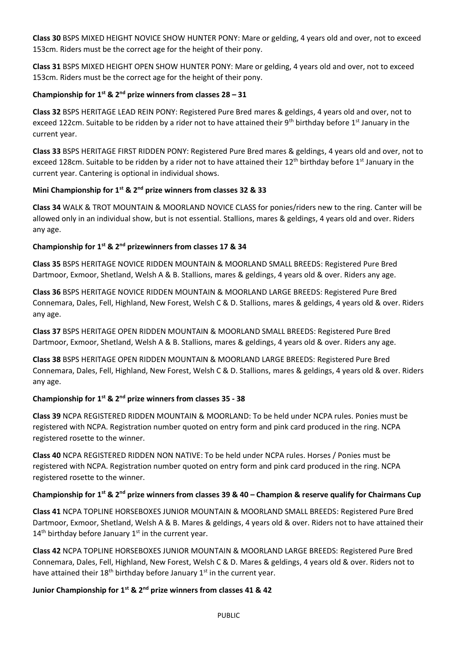**Class 30** BSPS MIXED HEIGHT NOVICE SHOW HUNTER PONY: Mare or gelding, 4 years old and over, not to exceed 153cm. Riders must be the correct age for the height of their pony.

**Class 31** BSPS MIXED HEIGHT OPEN SHOW HUNTER PONY: Mare or gelding, 4 years old and over, not to exceed 153cm. Riders must be the correct age for the height of their pony.

## **Championship for 1 st & 2nd prize winners from classes 28 – 31**

**Class 32** BSPS HERITAGE LEAD REIN PONY: Registered Pure Bred mares & geldings, 4 years old and over, not to exceed 122cm. Suitable to be ridden by a rider not to have attained their 9th birthday before 1st January in the current year.

**Class 33** BSPS HERITAGE FIRST RIDDEN PONY: Registered Pure Bred mares & geldings, 4 years old and over, not to exceed 128cm. Suitable to be ridden by a rider not to have attained their 12<sup>th</sup> birthday before 1<sup>st</sup> January in the current year. Cantering is optional in individual shows.

## **Mini Championship for 1st & 2nd prize winners from classes 32 & 33**

**Class 34** WALK & TROT MOUNTAIN & MOORLAND NOVICE CLASS for ponies/riders new to the ring. Canter will be allowed only in an individual show, but is not essential. Stallions, mares & geldings, 4 years old and over. Riders any age.

## **Championship for 1st & 2nd prizewinners from classes 17 & 34**

**Class 35** BSPS HERITAGE NOVICE RIDDEN MOUNTAIN & MOORLAND SMALL BREEDS: Registered Pure Bred Dartmoor, Exmoor, Shetland, Welsh A & B. Stallions, mares & geldings, 4 years old & over. Riders any age.

**Class 36** BSPS HERITAGE NOVICE RIDDEN MOUNTAIN & MOORLAND LARGE BREEDS: Registered Pure Bred Connemara, Dales, Fell, Highland, New Forest, Welsh C & D. Stallions, mares & geldings, 4 years old & over. Riders any age.

**Class 37** BSPS HERITAGE OPEN RIDDEN MOUNTAIN & MOORLAND SMALL BREEDS: Registered Pure Bred Dartmoor, Exmoor, Shetland, Welsh A & B. Stallions, mares & geldings, 4 years old & over. Riders any age.

**Class 38** BSPS HERITAGE OPEN RIDDEN MOUNTAIN & MOORLAND LARGE BREEDS: Registered Pure Bred Connemara, Dales, Fell, Highland, New Forest, Welsh C & D. Stallions, mares & geldings, 4 years old & over. Riders any age.

## **Championship for 1 st & 2nd prize winners from classes 35 - 38**

**Class 39** NCPA REGISTERED RIDDEN MOUNTAIN & MOORLAND: To be held under NCPA rules. Ponies must be registered with NCPA. Registration number quoted on entry form and pink card produced in the ring. NCPA registered rosette to the winner.

**Class 40** NCPA REGISTERED RIDDEN NON NATIVE: To be held under NCPA rules. Horses / Ponies must be registered with NCPA. Registration number quoted on entry form and pink card produced in the ring. NCPA registered rosette to the winner.

## **Championship for 1 st & 2nd prize winners from classes 39 & 40 – Champion & reserve qualify for Chairmans Cup**

**Class 41** NCPA TOPLINE HORSEBOXES JUNIOR MOUNTAIN & MOORLAND SMALL BREEDS: Registered Pure Bred Dartmoor, Exmoor, Shetland, Welsh A & B. Mares & geldings, 4 years old & over. Riders not to have attained their  $14<sup>th</sup>$  birthday before January  $1<sup>st</sup>$  in the current year.

**Class 42** NCPA TOPLINE HORSEBOXES JUNIOR MOUNTAIN & MOORLAND LARGE BREEDS: Registered Pure Bred Connemara, Dales, Fell, Highland, New Forest, Welsh C & D. Mares & geldings, 4 years old & over. Riders not to have attained their  $18<sup>th</sup>$  birthday before January  $1<sup>st</sup>$  in the current year.

## **Junior Championship for 1 st & 2nd prize winners from classes 41 & 42**